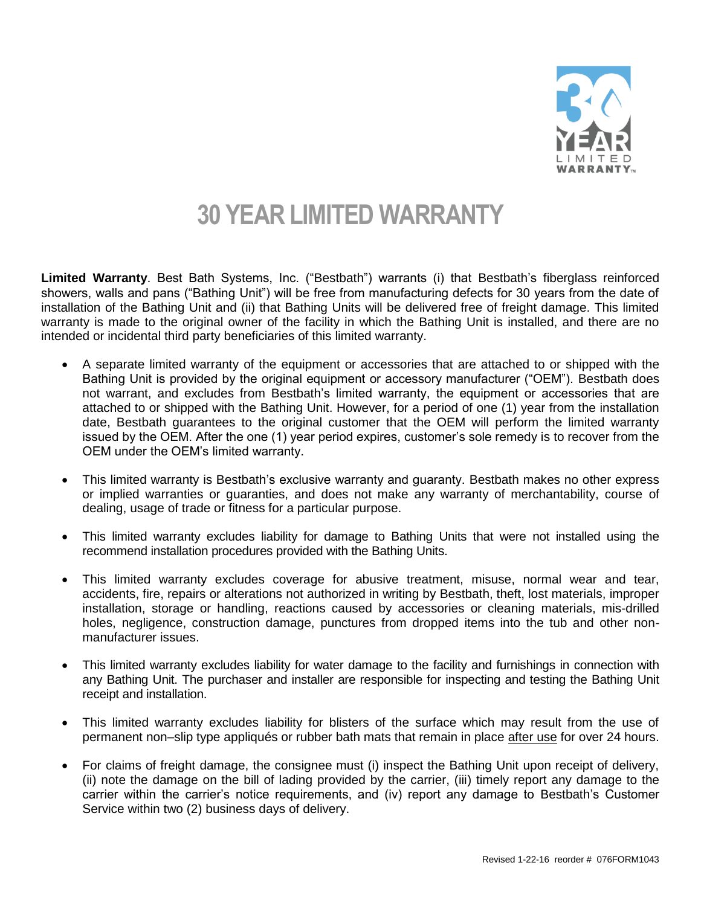

## **30 YEAR LIMITED WARRANTY**

**Limited Warranty**. Best Bath Systems, Inc. ("Bestbath") warrants (i) that Bestbath's fiberglass reinforced showers, walls and pans ("Bathing Unit") will be free from manufacturing defects for 30 years from the date of installation of the Bathing Unit and (ii) that Bathing Units will be delivered free of freight damage. This limited warranty is made to the original owner of the facility in which the Bathing Unit is installed, and there are no intended or incidental third party beneficiaries of this limited warranty.

- A separate limited warranty of the equipment or accessories that are attached to or shipped with the Bathing Unit is provided by the original equipment or accessory manufacturer ("OEM"). Bestbath does not warrant, and excludes from Bestbath's limited warranty, the equipment or accessories that are attached to or shipped with the Bathing Unit. However, for a period of one (1) year from the installation date, Bestbath guarantees to the original customer that the OEM will perform the limited warranty issued by the OEM. After the one (1) year period expires, customer's sole remedy is to recover from the OEM under the OEM's limited warranty.
- This limited warranty is Bestbath's exclusive warranty and guaranty. Bestbath makes no other express or implied warranties or guaranties, and does not make any warranty of merchantability, course of dealing, usage of trade or fitness for a particular purpose.
- This limited warranty excludes liability for damage to Bathing Units that were not installed using the recommend installation procedures provided with the Bathing Units.
- This limited warranty excludes coverage for abusive treatment, misuse, normal wear and tear, accidents, fire, repairs or alterations not authorized in writing by Bestbath, theft, lost materials, improper installation, storage or handling, reactions caused by accessories or cleaning materials, mis-drilled holes, negligence, construction damage, punctures from dropped items into the tub and other nonmanufacturer issues.
- This limited warranty excludes liability for water damage to the facility and furnishings in connection with any Bathing Unit. The purchaser and installer are responsible for inspecting and testing the Bathing Unit receipt and installation.
- This limited warranty excludes liability for blisters of the surface which may result from the use of permanent non–slip type appliqués or rubber bath mats that remain in place after use for over 24 hours.
- For claims of freight damage, the consignee must (i) inspect the Bathing Unit upon receipt of delivery, (ii) note the damage on the bill of lading provided by the carrier, (iii) timely report any damage to the carrier within the carrier's notice requirements, and (iv) report any damage to Bestbath's Customer Service within two (2) business days of delivery.